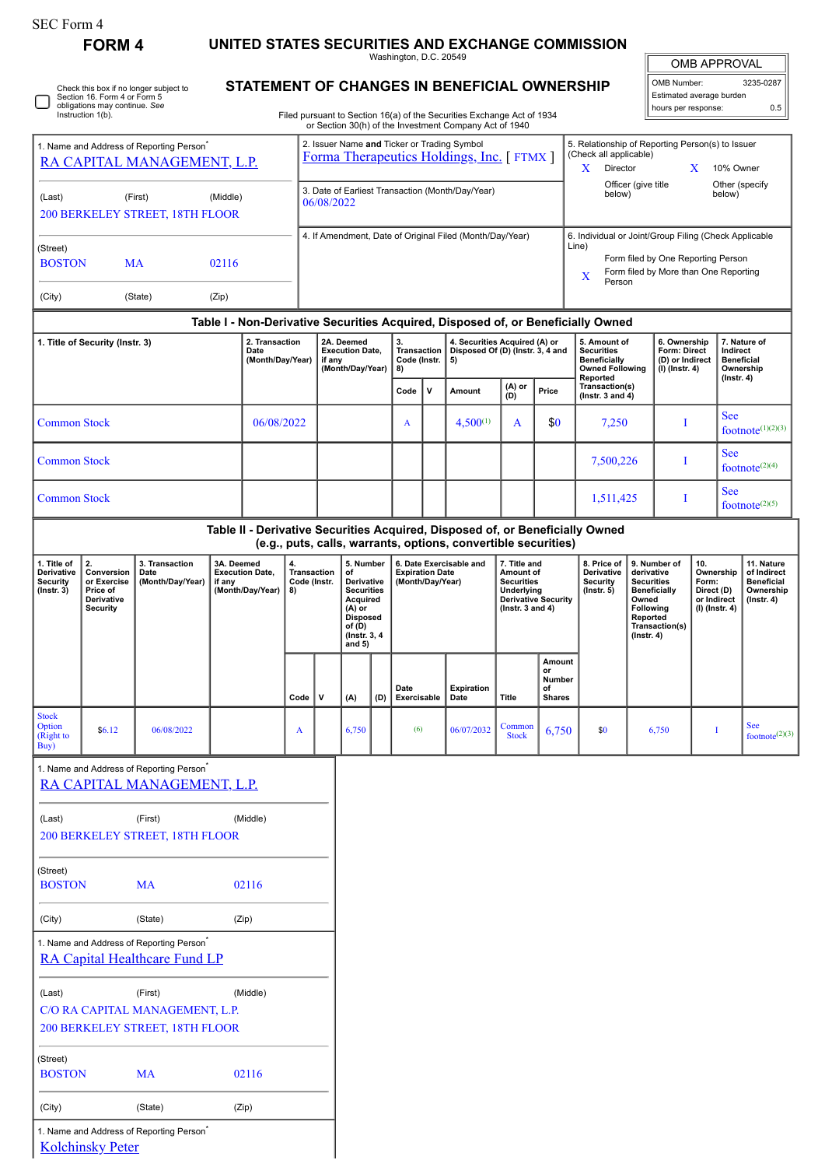| r orm |  |
|-------|--|
|-------|--|

## **FORM 4 UNITED STATES SECURITIES AND EXCHANGE COMMISSION**

Washington, D.C. 20549

 $\blacksquare$ OMB APPROVAL

| OMB Number:              | 3235-0287 |
|--------------------------|-----------|
| Estimated average burden |           |
| hours per response:      | 0.5       |

Check this box if no longer subject to Section 16. Form 4 or Form 5 obligations may continue. *See* Instruction 1(b). □

1. Name and Address of Reporting Person<sup>\*</sup>

## **STATEMENT OF CHANGES IN BENEFICIAL OWNERSHIP**

Filed pursuant to Section 16(a) of the Securities Exchange Act of 1934 or Section 30(h) of the Investment Company Act of 1940

| 1. Name and Address of Reporting Person <sup>7</sup><br>RA CAPITAL MANAGEMENT, L.P. |                                                                                          |                                                                                       |                      |                                                          | 2. Issuer Name and Ticker or Trading Symbol<br>Forma Therapeutics Holdings, Inc. [FTMX] |                                                                |                                                                                                                                     |     |                                                      |             |                                                                                                                                                              | 5. Relationship of Reporting Person(s) to Issuer<br>(Check all applicable)<br>Director<br>$\mathbf{X}$<br>10% Owner<br>X |                                                           |                                                                                                |                                                                                                                                                       |                                                                     |                                                                          |                                                                                |                                                                                 |
|-------------------------------------------------------------------------------------|------------------------------------------------------------------------------------------|---------------------------------------------------------------------------------------|----------------------|----------------------------------------------------------|-----------------------------------------------------------------------------------------|----------------------------------------------------------------|-------------------------------------------------------------------------------------------------------------------------------------|-----|------------------------------------------------------|-------------|--------------------------------------------------------------------------------------------------------------------------------------------------------------|--------------------------------------------------------------------------------------------------------------------------|-----------------------------------------------------------|------------------------------------------------------------------------------------------------|-------------------------------------------------------------------------------------------------------------------------------------------------------|---------------------------------------------------------------------|--------------------------------------------------------------------------|--------------------------------------------------------------------------------|---------------------------------------------------------------------------------|
| (Last)                                                                              | (First)<br>(Middle)<br>200 BERKELEY STREET, 18TH FLOOR                                   |                                                                                       |                      |                                                          |                                                                                         | 3. Date of Earliest Transaction (Month/Day/Year)<br>06/08/2022 |                                                                                                                                     |     |                                                      |             |                                                                                                                                                              |                                                                                                                          | Officer (give title<br>Other (specify<br>below)<br>below) |                                                                                                |                                                                                                                                                       |                                                                     |                                                                          |                                                                                |                                                                                 |
| (Street)<br><b>BOSTON</b><br>02116<br>MA                                            |                                                                                          |                                                                                       |                      | 4. If Amendment, Date of Original Filed (Month/Day/Year) |                                                                                         |                                                                |                                                                                                                                     |     |                                                      |             | 6. Individual or Joint/Group Filing (Check Applicable<br>Line)<br>Form filed by One Reporting Person<br>Form filed by More than One Reporting<br>X<br>Person |                                                                                                                          |                                                           |                                                                                                |                                                                                                                                                       |                                                                     |                                                                          |                                                                                |                                                                                 |
| (City)                                                                              |                                                                                          | (State)                                                                               | (Zip)                |                                                          |                                                                                         |                                                                |                                                                                                                                     |     |                                                      |             |                                                                                                                                                              |                                                                                                                          |                                                           |                                                                                                |                                                                                                                                                       |                                                                     |                                                                          |                                                                                |                                                                                 |
|                                                                                     |                                                                                          |                                                                                       |                      |                                                          |                                                                                         |                                                                |                                                                                                                                     |     |                                                      |             |                                                                                                                                                              |                                                                                                                          |                                                           | Table I - Non-Derivative Securities Acquired, Disposed of, or Beneficially Owned               |                                                                                                                                                       |                                                                     |                                                                          |                                                                                |                                                                                 |
|                                                                                     | 1. Title of Security (Instr. 3)                                                          |                                                                                       |                      | 2. Transaction<br>Date<br>(Month/Day/Year)               | if any                                                                                  |                                                                | 2A. Deemed<br><b>Execution Date,</b><br>(Month/Day/Year)                                                                            |     | 3.<br><b>Transaction</b><br>Code (Instr.<br>5)<br>8) |             |                                                                                                                                                              | 4. Securities Acquired (A) or<br>Disposed Of (D) (Instr. 3, 4 and                                                        |                                                           | 5. Amount of<br><b>Securities</b><br><b>Beneficially</b><br><b>Owned Following</b><br>Reported |                                                                                                                                                       | 6. Ownership<br>Form: Direct<br>(D) or Indirect<br>$(I)$ (Instr. 4) |                                                                          | 7. Nature of<br>Indirect<br><b>Beneficial</b><br>Ownership<br>$($ lnstr. 4 $)$ |                                                                                 |
|                                                                                     |                                                                                          |                                                                                       |                      |                                                          |                                                                                         |                                                                |                                                                                                                                     |     | Code                                                 | $\mathbf v$ | Amount                                                                                                                                                       | (A) or<br>(D)                                                                                                            | Price                                                     | Transaction(s)<br>(Instr. 3 and 4)                                                             |                                                                                                                                                       |                                                                     |                                                                          |                                                                                |                                                                                 |
| <b>Common Stock</b>                                                                 |                                                                                          |                                                                                       |                      | 06/08/2022                                               |                                                                                         |                                                                |                                                                                                                                     |     | A                                                    |             | $4,500^{(1)}$                                                                                                                                                | A                                                                                                                        | \$0                                                       | 7,250                                                                                          | Т                                                                                                                                                     |                                                                     | <b>See</b>                                                               | footnote $(1)(2)(3)$                                                           |                                                                                 |
| <b>Common Stock</b>                                                                 |                                                                                          |                                                                                       |                      |                                                          |                                                                                         |                                                                |                                                                                                                                     |     |                                                      |             |                                                                                                                                                              |                                                                                                                          |                                                           | 7,500,226                                                                                      | Ι                                                                                                                                                     |                                                                     | <b>See</b>                                                               | footnote $(2)(4)$                                                              |                                                                                 |
| <b>Common Stock</b>                                                                 |                                                                                          |                                                                                       |                      |                                                          |                                                                                         |                                                                |                                                                                                                                     |     |                                                      |             |                                                                                                                                                              |                                                                                                                          |                                                           | Ι<br>1,511,425                                                                                 |                                                                                                                                                       |                                                                     | See<br>footnote <sup><math>(2)(5)</math></sup>                           |                                                                                |                                                                                 |
|                                                                                     |                                                                                          |                                                                                       |                      |                                                          |                                                                                         |                                                                |                                                                                                                                     |     |                                                      |             | Table II - Derivative Securities Acquired, Disposed of, or Beneficially Owned<br>(e.g., puts, calls, warrants, options, convertible securities)              |                                                                                                                          |                                                           |                                                                                                |                                                                                                                                                       |                                                                     |                                                                          |                                                                                |                                                                                 |
| 1. Title of<br>Derivative<br><b>Security</b><br>$($ Instr. 3 $)$                    | $\overline{2}$<br>Conversion<br>or Exercise<br>Price of<br>Derivative<br><b>Security</b> | 3. Transaction<br>Date<br>(Month/Day/Year)                                            | 3A. Deemed<br>if any | <b>Execution Date,</b><br>(Month/Day/Year)               | 4.<br>Transaction<br>Code (Instr.<br>8)                                                 |                                                                | 5. Number<br>of<br>Derivative<br><b>Securities</b><br>Acquired<br>$(A)$ or<br><b>Disposed</b><br>of(D)<br>(Instr. 3, 4)<br>and $5)$ |     | <b>Expiration Date</b><br>(Month/Day/Year)           |             | 6. Date Exercisable and                                                                                                                                      | 7. Title and<br>Amount of<br><b>Securities</b><br>Underlying<br><b>Derivative Security</b><br>$($ lnstr. 3 and 4 $)$     |                                                           | 8. Price of<br>Derivative<br><b>Security</b><br>$($ Instr. 5 $)$                               | 9. Number of<br>derivative<br><b>Securities</b><br><b>Beneficially</b><br>Owned<br><b>Following</b><br>Reported<br>Transaction(s)<br>$($ Instr. 4 $)$ |                                                                     | 10.<br>Ownership<br>Form:<br>Direct (D)<br>or Indirect<br>(I) (Instr. 4) |                                                                                | 11. Nature<br>of Indirect<br><b>Beneficial</b><br>Ownership<br>$($ Instr. 4 $)$ |
|                                                                                     |                                                                                          |                                                                                       |                      |                                                          | Code                                                                                    | $\mathbf{v}$                                                   | (A)                                                                                                                                 | (D) | Date<br>Exercisable                                  |             | <b>Expiration</b><br>Date                                                                                                                                    | <b>Title</b>                                                                                                             | Amount<br>or<br>Number<br>of<br><b>Shares</b>             |                                                                                                |                                                                                                                                                       |                                                                     |                                                                          |                                                                                |                                                                                 |
| <b>Stock</b><br>Option<br>(Right to<br>Buy)                                         | \$6.12                                                                                   | 06/08/2022                                                                            |                      |                                                          | A                                                                                       |                                                                | 6,750                                                                                                                               |     | (6)                                                  |             | 06/07/2032                                                                                                                                                   | Common<br><b>Stock</b>                                                                                                   | 6,750                                                     | \$0                                                                                            |                                                                                                                                                       | 6,750                                                               | $\bf{I}$                                                                 |                                                                                | <b>See</b><br>footnote $^{(2)(3)}$                                              |
|                                                                                     |                                                                                          | 1. Name and Address of Reporting Person <sup>'</sup><br>RA CAPITAL MANAGEMENT, L.P.   |                      |                                                          |                                                                                         |                                                                |                                                                                                                                     |     |                                                      |             |                                                                                                                                                              |                                                                                                                          |                                                           |                                                                                                |                                                                                                                                                       |                                                                     |                                                                          |                                                                                |                                                                                 |
| (Last)                                                                              |                                                                                          | (First)<br>200 BERKELEY STREET, 18TH FLOOR                                            |                      | (Middle)                                                 |                                                                                         |                                                                |                                                                                                                                     |     |                                                      |             |                                                                                                                                                              |                                                                                                                          |                                                           |                                                                                                |                                                                                                                                                       |                                                                     |                                                                          |                                                                                |                                                                                 |
| (Street)<br><b>BOSTON</b>                                                           |                                                                                          | <b>MA</b>                                                                             |                      | 02116                                                    |                                                                                         |                                                                |                                                                                                                                     |     |                                                      |             |                                                                                                                                                              |                                                                                                                          |                                                           |                                                                                                |                                                                                                                                                       |                                                                     |                                                                          |                                                                                |                                                                                 |
| (City)                                                                              |                                                                                          | (State)                                                                               |                      | (Zip)                                                    |                                                                                         |                                                                |                                                                                                                                     |     |                                                      |             |                                                                                                                                                              |                                                                                                                          |                                                           |                                                                                                |                                                                                                                                                       |                                                                     |                                                                          |                                                                                |                                                                                 |
|                                                                                     |                                                                                          | 1. Name and Address of Reporting Person <sup>*</sup><br>RA Capital Healthcare Fund LP |                      |                                                          |                                                                                         |                                                                |                                                                                                                                     |     |                                                      |             |                                                                                                                                                              |                                                                                                                          |                                                           |                                                                                                |                                                                                                                                                       |                                                                     |                                                                          |                                                                                |                                                                                 |
| (Last)                                                                              |                                                                                          | (First)<br>C/O RA CAPITAL MANAGEMENT, L.P.<br>200 BERKELEY STREET, 18TH FLOOR         |                      | (Middle)                                                 |                                                                                         |                                                                |                                                                                                                                     |     |                                                      |             |                                                                                                                                                              |                                                                                                                          |                                                           |                                                                                                |                                                                                                                                                       |                                                                     |                                                                          |                                                                                |                                                                                 |
| (Street)<br><b>BOSTON</b>                                                           |                                                                                          | <b>MA</b>                                                                             |                      | 02116                                                    |                                                                                         |                                                                |                                                                                                                                     |     |                                                      |             |                                                                                                                                                              |                                                                                                                          |                                                           |                                                                                                |                                                                                                                                                       |                                                                     |                                                                          |                                                                                |                                                                                 |
| (City)                                                                              |                                                                                          | (State)                                                                               |                      | (Zip)                                                    |                                                                                         |                                                                |                                                                                                                                     |     |                                                      |             |                                                                                                                                                              |                                                                                                                          |                                                           |                                                                                                |                                                                                                                                                       |                                                                     |                                                                          |                                                                                |                                                                                 |

1. Name and Address of Reporting Person<sup>\*</sup> [Kolchinsky Peter](http://www.sec.gov/cgi-bin/browse-edgar?action=getcompany&CIK=0001384859)